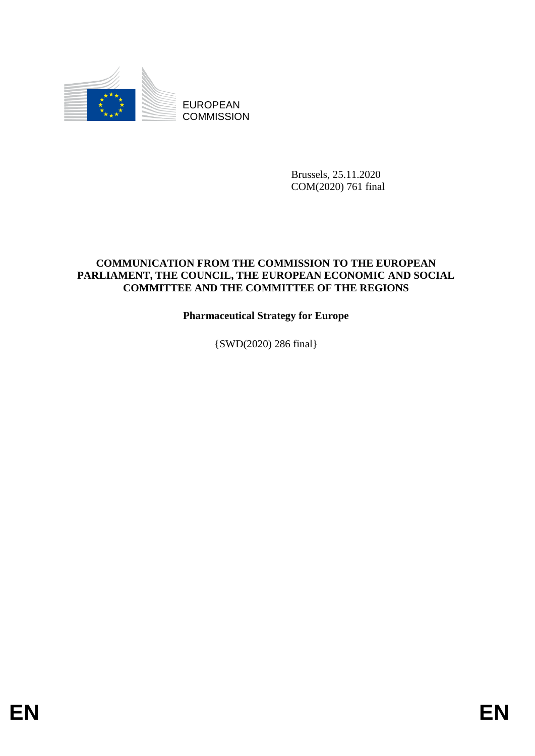

EUROPEAN **COMMISSION** 

> Brussels, 25.11.2020 COM(2020) 761 final

# **COMMUNICATION FROM THE COMMISSION TO THE EUROPEAN PARLIAMENT, THE COUNCIL, THE EUROPEAN ECONOMIC AND SOCIAL COMMITTEE AND THE COMMITTEE OF THE REGIONS**

# **Pharmaceutical Strategy for Europe**

{SWD(2020) 286 final}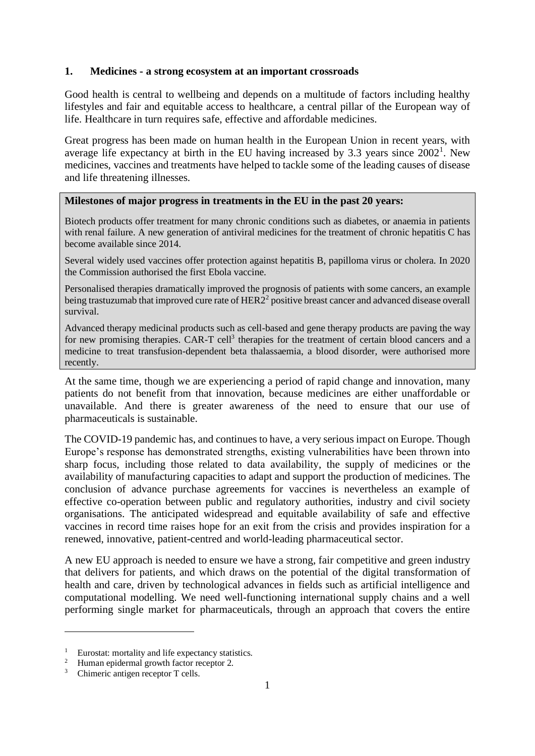### **1. Medicines - a strong ecosystem at an important crossroads**

Good health is central to wellbeing and depends on a multitude of factors including healthy lifestyles and fair and equitable access to healthcare, a central pillar of the European way of life. Healthcare in turn requires safe, effective and affordable medicines.

Great progress has been made on human health in the European Union in recent years, with average life expectancy at birth in the EU having increased by  $3.3$  years since  $2002<sup>1</sup>$ . New medicines, vaccines and treatments have helped to tackle some of the leading causes of disease and life threatening illnesses.

#### **Milestones of major progress in treatments in the EU in the past 20 years:**

Biotech products offer treatment for many chronic conditions such as diabetes, or anaemia in patients with renal failure. A new generation of antiviral medicines for the treatment of chronic hepatitis C has become available since 2014.

Several widely used vaccines offer protection against hepatitis B, papilloma virus or cholera. In 2020 the Commission authorised the first Ebola vaccine.

Personalised therapies dramatically improved the prognosis of patients with some cancers, an example being trastuzumab that improved cure rate of  $HER2<sup>2</sup>$  positive breast cancer and advanced disease overall survival.

Advanced therapy medicinal products such as cell-based and gene therapy products are paving the way for new promising therapies. CAR-T cell<sup>3</sup> therapies for the treatment of certain blood cancers and a medicine to treat transfusion-dependent beta thalassaemia, a blood disorder, were authorised more recently.

At the same time, though we are experiencing a period of rapid change and innovation, many patients do not benefit from that innovation, because medicines are either unaffordable or unavailable. And there is greater awareness of the need to ensure that our use of pharmaceuticals is sustainable.

The COVID-19 pandemic has, and continues to have, a very serious impact on Europe. Though Europe's response has demonstrated strengths, existing vulnerabilities have been thrown into sharp focus, including those related to data availability, the supply of medicines or the availability of manufacturing capacities to adapt and support the production of medicines. The conclusion of advance purchase agreements for vaccines is nevertheless an example of effective co-operation between public and regulatory authorities, industry and civil society organisations. The anticipated widespread and equitable availability of safe and effective vaccines in record time raises hope for an exit from the crisis and provides inspiration for a renewed, innovative, patient-centred and world-leading pharmaceutical sector.

A new EU approach is needed to ensure we have a strong, fair competitive and green industry that delivers for patients, and which draws on the potential of the digital transformation of health and care, driven by technological advances in fields such as artificial intelligence and computational modelling. We need well-functioning international supply chains and a well performing single market for pharmaceuticals, through an approach that covers the entire

<sup>&</sup>lt;sup>1</sup> Eurostat: mortality and life expectancy statistics.

<sup>&</sup>lt;sup>2</sup> Human epidermal growth factor receptor 2.

<sup>&</sup>lt;sup>3</sup> Chimeric antigen receptor T cells.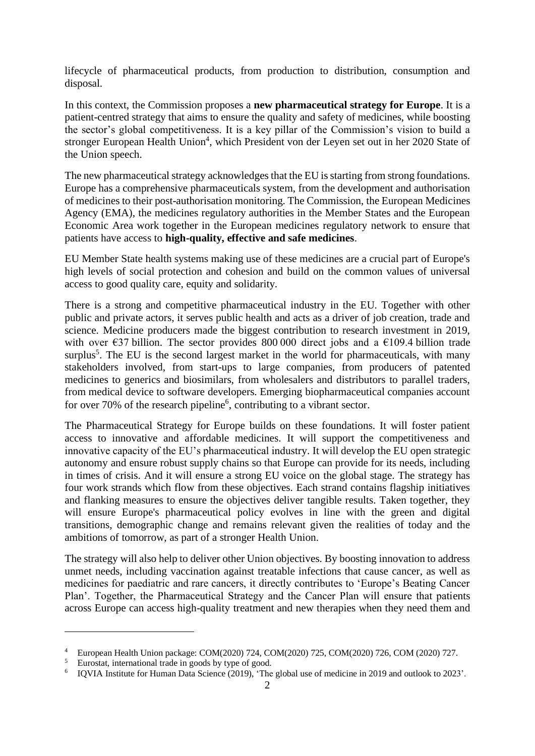lifecycle of pharmaceutical products, from production to distribution, consumption and disposal.

In this context, the Commission proposes a **new pharmaceutical strategy for Europe**. It is a patient-centred strategy that aims to ensure the quality and safety of medicines, while boosting the sector's global competitiveness. It is a key pillar of the Commission's vision to build a stronger European Health Union<sup>4</sup>, which President von der Leyen set out in her 2020 State of the Union speech.

The new pharmaceutical strategy acknowledges that the EU is starting from strong foundations. Europe has a comprehensive pharmaceuticals system, from the development and authorisation of medicines to their post-authorisation monitoring. The Commission, the European Medicines Agency (EMA), the medicines regulatory authorities in the Member States and the European Economic Area work together in the European medicines regulatory network to ensure that patients have access to **high-quality, effective and safe medicines**.

EU Member State health systems making use of these medicines are a crucial part of Europe's high levels of social protection and cohesion and build on the common values of universal access to good quality care, equity and solidarity.

There is a strong and competitive pharmaceutical industry in the EU. Together with other public and private actors, it serves public health and acts as a driver of job creation, trade and science. Medicine producers made the biggest contribution to research investment in 2019, with over  $\epsilon$ 37 billion. The sector provides 800 000 direct jobs and a  $\epsilon$ 109.4 billion trade surplus<sup>5</sup>. The EU is the second largest market in the world for pharmaceuticals, with many stakeholders involved, from start-ups to large companies, from producers of patented medicines to generics and biosimilars, from wholesalers and distributors to parallel traders, from medical device to software developers. Emerging biopharmaceutical companies account for over 70% of the research pipeline<sup>6</sup>, contributing to a vibrant sector.

The Pharmaceutical Strategy for Europe builds on these foundations. It will foster patient access to innovative and affordable medicines. It will support the competitiveness and innovative capacity of the EU's pharmaceutical industry. It will develop the EU open strategic autonomy and ensure robust supply chains so that Europe can provide for its needs, including in times of crisis. And it will ensure a strong EU voice on the global stage. The strategy has four work strands which flow from these objectives. Each strand contains flagship initiatives and flanking measures to ensure the objectives deliver tangible results. Taken together, they will ensure Europe's pharmaceutical policy evolves in line with the green and digital transitions, demographic change and remains relevant given the realities of today and the ambitions of tomorrow, as part of a stronger Health Union.

The strategy will also help to deliver other Union objectives. By boosting innovation to address unmet needs, including vaccination against treatable infections that cause cancer, as well as medicines for paediatric and rare cancers, it directly contributes to 'Europe's Beating Cancer Plan'. Together, the Pharmaceutical Strategy and the Cancer Plan will ensure that patients across Europe can access high-quality treatment and new therapies when they need them and

<sup>4</sup> European Health Union package: COM(2020) 724, COM(2020) 725, COM(2020) 726, COM (2020) 727.

<sup>5</sup> Eurostat, international trade in goods by type of good.

<sup>6</sup> IQVIA Institute for Human Data Science (2019), 'The global use of medicine in 2019 and outlook to 2023'.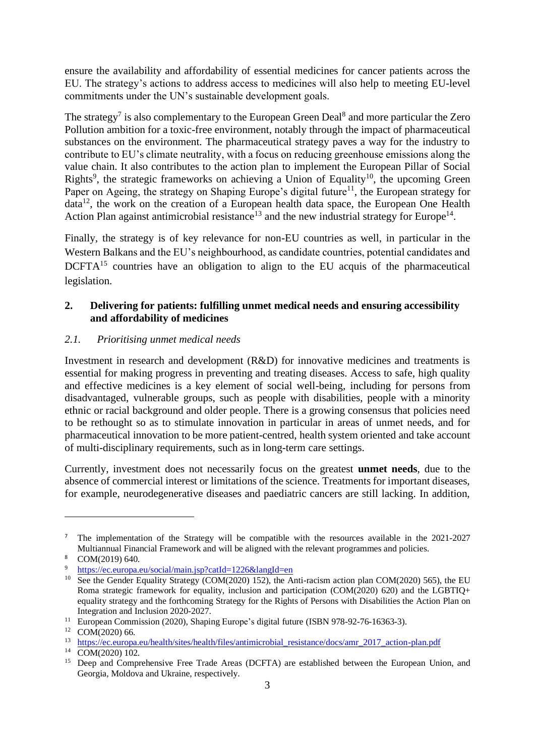ensure the availability and affordability of essential medicines for cancer patients across the EU. The strategy's actions to address access to medicines will also help to meeting EU-level commitments under the UN's sustainable development goals.

The strategy<sup>7</sup> is also complementary to the European Green Deal<sup>8</sup> and more particular the Zero Pollution ambition for a toxic-free environment, notably through the impact of pharmaceutical substances on the environment. The pharmaceutical strategy paves a way for the industry to contribute to EU's climate neutrality, with a focus on reducing greenhouse emissions along the value chain. It also contributes to the action plan to implement the European Pillar of Social Rights<sup>9</sup>, the strategic frameworks on achieving a Union of Equality<sup>10</sup>, the upcoming Green Paper on Ageing, the strategy on Shaping Europe's digital future<sup>11</sup>, the European strategy for data<sup>12</sup>, the work on the creation of a European health data space, the European One Health Action Plan against antimicrobial resistance<sup>13</sup> and the new industrial strategy for Europe<sup>14</sup>.

Finally, the strategy is of key relevance for non-EU countries as well, in particular in the Western Balkans and the EU's neighbourhood, as candidate countries, potential candidates and DCFTA<sup>15</sup> countries have an obligation to align to the EU acquis of the pharmaceutical legislation.

## **2. Delivering for patients: fulfilling unmet medical needs and ensuring accessibility and affordability of medicines**

### *2.1. Prioritising unmet medical needs*

Investment in research and development (R&D) for innovative medicines and treatments is essential for making progress in preventing and treating diseases. Access to safe, high quality and effective medicines is a key element of social well-being, including for persons from disadvantaged, vulnerable groups, such as people with disabilities, people with a minority ethnic or racial background and older people. There is a growing consensus that policies need to be rethought so as to stimulate innovation in particular in areas of unmet needs, and for pharmaceutical innovation to be more patient-centred, health system oriented and take account of multi-disciplinary requirements, such as in long-term care settings.

Currently, investment does not necessarily focus on the greatest **unmet needs**, due to the absence of commercial interest or limitations of the science. Treatments for important diseases, for example, neurodegenerative diseases and paediatric cancers are still lacking. In addition,

<sup>7</sup> The implementation of the Strategy will be compatible with the resources available in the 2021-2027 Multiannual Financial Framework and will be aligned with the relevant programmes and policies.

<sup>8</sup> COM(2019) 640.

<https://ec.europa.eu/social/main.jsp?catId=1226&langId=en>

<sup>&</sup>lt;sup>10</sup> See the Gender Equality Strategy (COM(2020) 152), the Anti-racism action plan COM(2020) 565), the EU Roma strategic framework for equality, inclusion and participation (COM(2020) 620) and the LGBTIQ+ equality strategy and the forthcoming Strategy for the Rights of Persons with Disabilities the Action Plan on Integration and Inclusion 2020-2027.

<sup>&</sup>lt;sup>11</sup> European Commission (2020), Shaping Europe's digital future (ISBN 978-92-76-16363-3).

 $^{12}$  COM(2020) 66.<br> $^{13}$  https://ec.europa

[https://ec.europa.eu/health/sites/health/files/antimicrobial\\_resistance/docs/amr\\_2017\\_action-plan.pdf](https://ec.europa.eu/health/sites/health/files/antimicrobial_resistance/docs/amr_2017_action-plan.pdf)

 $14$  COM(2020) 102.

<sup>&</sup>lt;sup>15</sup> Deep and Comprehensive Free Trade Areas (DCFTA) are established between the European Union, and Georgia, Moldova and Ukraine, respectively.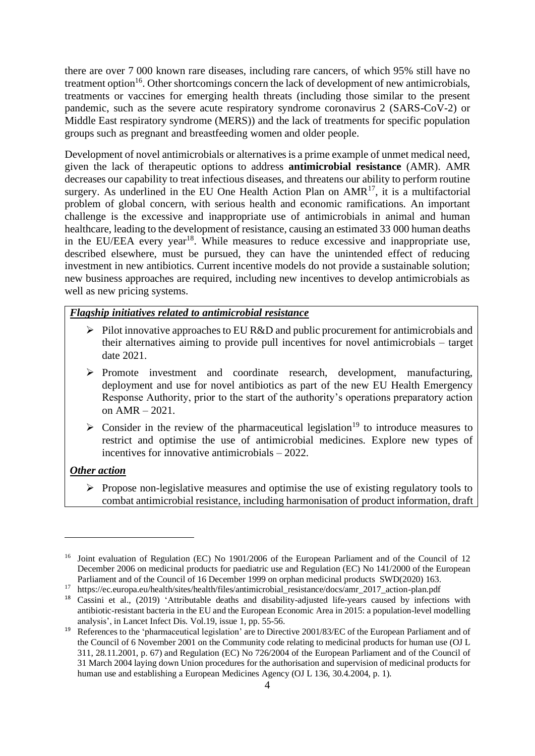there are over 7 000 known rare diseases, including rare cancers, of which 95% still have no treatment option<sup>16</sup>. Other shortcomings concern the lack of development of new antimicrobials, treatments or vaccines for emerging health threats (including those similar to the present pandemic, such as the severe acute respiratory syndrome coronavirus 2 (SARS-CoV-2) or Middle East respiratory syndrome (MERS)) and the lack of treatments for specific population groups such as pregnant and breastfeeding women and older people.

Development of novel antimicrobials or alternatives is a prime example of unmet medical need, given the lack of therapeutic options to address **antimicrobial resistance** (AMR). AMR decreases our capability to treat infectious diseases, and threatens our ability to perform routine surgery. As underlined in the EU One Health Action Plan on  $AMR<sup>17</sup>$ , it is a multifactorial problem of global concern, with serious health and economic ramifications. An important challenge is the excessive and inappropriate use of antimicrobials in animal and human healthcare, leading to the development of resistance, causing an estimated 33 000 human deaths in the EU/EEA every year<sup>18</sup>. While measures to reduce excessive and inappropriate use, described elsewhere, must be pursued, they can have the unintended effect of reducing investment in new antibiotics. Current incentive models do not provide a sustainable solution; new business approaches are required, including new incentives to develop antimicrobials as well as new pricing systems.

### *Flagship initiatives related to antimicrobial resistance*

- ➢ Pilot innovative approaches to EU R&D and public procurement for antimicrobials and their alternatives aiming to provide pull incentives for novel antimicrobials – target date 2021.
- ➢ Promote investment and coordinate research, development, manufacturing, deployment and use for novel antibiotics as part of the new EU Health Emergency Response Authority, prior to the start of the authority's operations preparatory action on AMR – 2021.
- $\triangleright$  Consider in the review of the pharmaceutical legislation<sup>19</sup> to introduce measures to restrict and optimise the use of antimicrobial medicines. Explore new types of incentives for innovative antimicrobials – 2022.

#### *Other action*

➢ Propose non-legislative measures and optimise the use of existing regulatory tools to combat antimicrobial resistance, including harmonisation of product information, draft

<sup>&</sup>lt;sup>16</sup> Joint evaluation of Regulation (EC) No 1901/2006 of the European Parliament and of the Council of 12 December 2006 on medicinal products for paediatric use and Regulation (EC) No 141/2000 of the European Parliament and of the Council of 16 December 1999 on orphan medicinal products SWD(2020) 163.

<sup>17</sup> [https://ec.europa.eu/health/sites/health/files/antimicrobial\\_resistance/docs/amr\\_2017\\_action-plan.pdf](https://ec.europa.eu/health/sites/health/files/antimicrobial_resistance/docs/amr_2017_action-plan.pdf)

<sup>&</sup>lt;sup>18</sup> Cassini et al., (2019) 'Attributable deaths and disability-adjusted life-years caused by infections with antibiotic-resistant bacteria in the EU and the European Economic Area in 2015: a population-level modelling analysis', in Lancet Infect Dis. Vol.19, issue 1, pp. 55-56.

<sup>&</sup>lt;sup>19</sup> References to the 'pharmaceutical legislation' are to Directive 2001/83/EC of the European Parliament and of the Council of 6 November 2001 on the Community code relating to medicinal products for human use (OJ L 311, 28.11.2001, p. 67) and Regulation (EC) No 726/2004 of the European Parliament and of the Council of 31 March 2004 laying down Union procedures for the authorisation and supervision of medicinal products for human use and establishing a European Medicines Agency (OJ L 136, 30.4.2004, p. 1).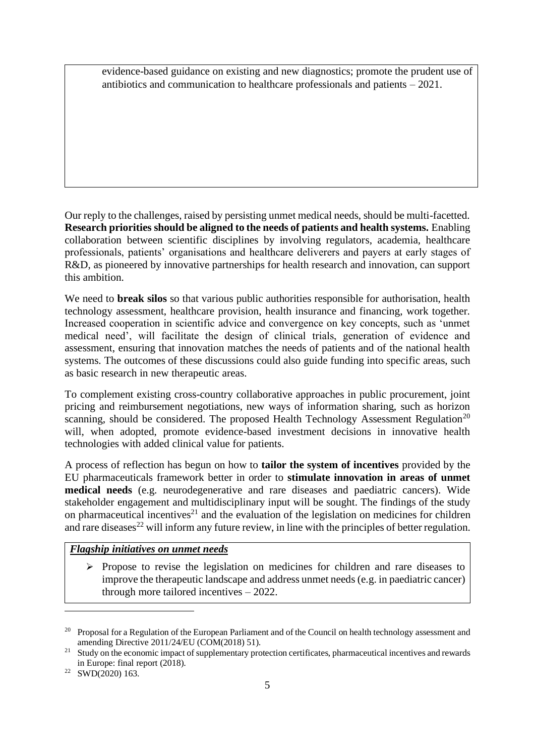evidence-based guidance on existing and new diagnostics; promote the prudent use of antibiotics and communication to healthcare professionals and patients – 2021.

Our reply to the challenges, raised by persisting unmet medical needs, should be multi-facetted. **Research priorities should be aligned to the needs of patients and health systems.** Enabling collaboration between scientific disciplines by involving regulators, academia, healthcare professionals, patients' organisations and healthcare deliverers and payers at early stages of R&D, as pioneered by innovative partnerships for health research and innovation, can support this ambition.

We need to **break silos** so that various public authorities responsible for authorisation, health technology assessment, healthcare provision, health insurance and financing, work together. Increased cooperation in scientific advice and convergence on key concepts, such as 'unmet medical need', will facilitate the design of clinical trials, generation of evidence and assessment, ensuring that innovation matches the needs of patients and of the national health systems. The outcomes of these discussions could also guide funding into specific areas, such as basic research in new therapeutic areas.

To complement existing cross-country collaborative approaches in public procurement, joint pricing and reimbursement negotiations, new ways of information sharing, such as horizon scanning, should be considered. The proposed Health Technology Assessment Regulation<sup>20</sup> will, when adopted, promote evidence-based investment decisions in innovative health technologies with added clinical value for patients.

A process of reflection has begun on how to **tailor the system of incentives** provided by the EU pharmaceuticals framework better in order to **stimulate innovation in areas of unmet medical needs** (e.g. neurodegenerative and rare diseases and paediatric cancers). Wide stakeholder engagement and multidisciplinary input will be sought. The findings of the study on pharmaceutical incentives<sup>21</sup> and the evaluation of the legislation on medicines for children and rare diseases<sup>22</sup> will inform any future review, in line with the principles of better regulation.

## *Flagship initiatives on unmet needs*

 $\triangleright$  Propose to revise the legislation on medicines for children and rare diseases to improve the therapeutic landscape and address unmet needs (e.g. in paediatric cancer) through more tailored incentives – 2022.

<sup>&</sup>lt;sup>20</sup> Proposal for a Regulation of the European Parliament and of the Council on health technology assessment and amending Directive 2011/24/EU (COM(2018) 51).

<sup>&</sup>lt;sup>21</sup> Study on the economic impact of supplementary protection certificates, pharmaceutical incentives and rewards in Europe: final report (2018).

 $22$  SWD(2020) 163.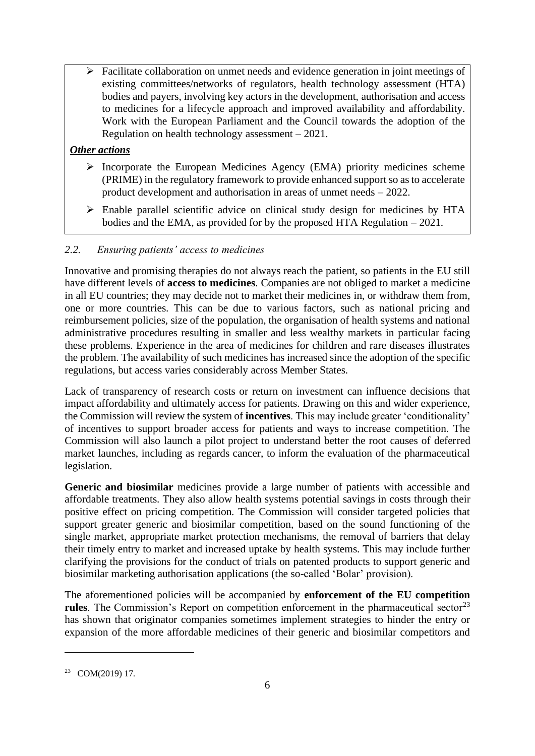➢ Facilitate collaboration on unmet needs and evidence generation in joint meetings of existing committees/networks of regulators, health technology assessment (HTA) bodies and payers, involving key actors in the development, authorisation and access to medicines for a lifecycle approach and improved availability and affordability. Work with the European Parliament and the Council towards the adoption of the Regulation on health technology assessment – 2021.

# *Other actions*

- ➢ Incorporate the European Medicines Agency (EMA) priority medicines scheme (PRIME) in the regulatory framework to provide enhanced support so as to accelerate product development and authorisation in areas of unmet needs – 2022.
- ➢ Enable parallel scientific advice on clinical study design for medicines by HTA bodies and the EMA, as provided for by the proposed HTA Regulation – 2021.

## *2.2. Ensuring patients' access to medicines*

Innovative and promising therapies do not always reach the patient, so patients in the EU still have different levels of **access to medicines**. Companies are not obliged to market a medicine in all EU countries; they may decide not to market their medicines in, or withdraw them from, one or more countries. This can be due to various factors, such as national pricing and reimbursement policies, size of the population, the organisation of health systems and national administrative procedures resulting in smaller and less wealthy markets in particular facing these problems. Experience in the area of medicines for children and rare diseases illustrates the problem. The availability of such medicines has increased since the adoption of the specific regulations, but access varies considerably across Member States.

Lack of transparency of research costs or return on investment can influence decisions that impact affordability and ultimately access for patients. Drawing on this and wider experience, the Commission will review the system of **incentives**. This may include greater 'conditionality' of incentives to support broader access for patients and ways to increase competition. The Commission will also launch a pilot project to understand better the root causes of deferred market launches, including as regards cancer, to inform the evaluation of the pharmaceutical legislation.

**Generic and biosimilar** medicines provide a large number of patients with accessible and affordable treatments. They also allow health systems potential savings in costs through their positive effect on pricing competition. The Commission will consider targeted policies that support greater generic and biosimilar competition, based on the sound functioning of the single market, appropriate market protection mechanisms, the removal of barriers that delay their timely entry to market and increased uptake by health systems. This may include further clarifying the provisions for the conduct of trials on patented products to support generic and biosimilar marketing authorisation applications (the so-called 'Bolar' provision).

The aforementioned policies will be accompanied by **enforcement of the EU competition**  rules. The Commission's Report on competition enforcement in the pharmaceutical sector<sup>23</sup> has shown that originator companies sometimes implement strategies to hinder the entry or expansion of the more affordable medicines of their generic and biosimilar competitors and

<sup>23</sup> COM(2019) 17.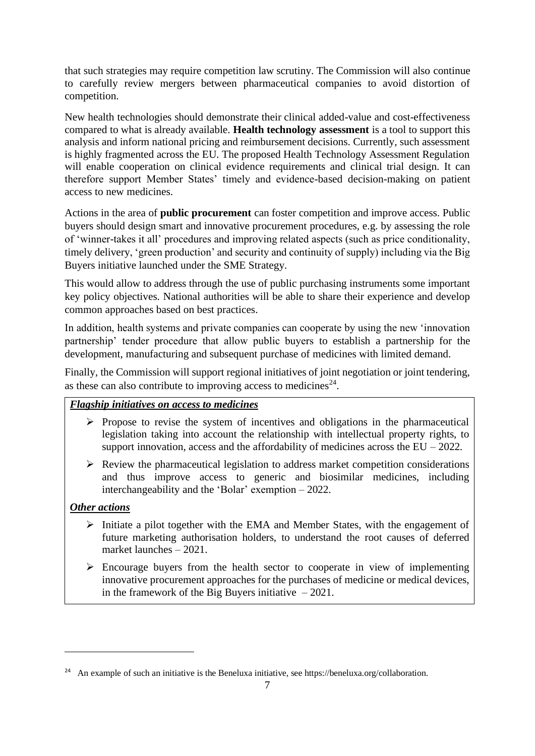that such strategies may require competition law scrutiny. The Commission will also continue to carefully review mergers between pharmaceutical companies to avoid distortion of competition.

New health technologies should demonstrate their clinical added-value and cost-effectiveness compared to what is already available. **Health technology assessment** is a tool to support this analysis and inform national pricing and reimbursement decisions. Currently, such assessment is highly fragmented across the EU. The proposed Health Technology Assessment Regulation will enable cooperation on clinical evidence requirements and clinical trial design. It can therefore support Member States' timely and evidence-based decision-making on patient access to new medicines.

Actions in the area of **public procurement** can foster competition and improve access. Public buyers should design smart and innovative procurement procedures, e.g. by assessing the role of 'winner-takes it all' procedures and improving related aspects (such as price conditionality, timely delivery, 'green production' and security and continuity of supply) including via the Big Buyers initiative launched under the SME Strategy.

This would allow to address through the use of public purchasing instruments some important key policy objectives. National authorities will be able to share their experience and develop common approaches based on best practices.

In addition, health systems and private companies can cooperate by using the new 'innovation partnership' tender procedure that allow public buyers to establish a partnership for the development, manufacturing and subsequent purchase of medicines with limited demand.

Finally, the Commission will support regional initiatives of joint negotiation or joint tendering, as these can also contribute to improving access to medicines<sup>24</sup>.

# *Flagship initiatives on access to medicines*

- ➢ Propose to revise the system of incentives and obligations in the pharmaceutical legislation taking into account the relationship with intellectual property rights, to support innovation, access and the affordability of medicines across the  $EU - 2022$ .
- $\triangleright$  Review the pharmaceutical legislation to address market competition considerations and thus improve access to generic and biosimilar medicines, including interchangeability and the 'Bolar' exemption – 2022.

## *Other actions*

- ➢ Initiate a pilot together with the EMA and Member States, with the engagement of future marketing authorisation holders, to understand the root causes of deferred market launches – 2021.
- ➢ Encourage buyers from the health sector to cooperate in view of implementing innovative procurement approaches for the purchases of medicine or medical devices, in the framework of the Big Buyers initiative  $-2021$ .

<sup>&</sup>lt;sup>24</sup> An example of such an initiative is the Beneluxa initiative, see [https://beneluxa.org/collaboration.](https://beneluxa.org/collaboration)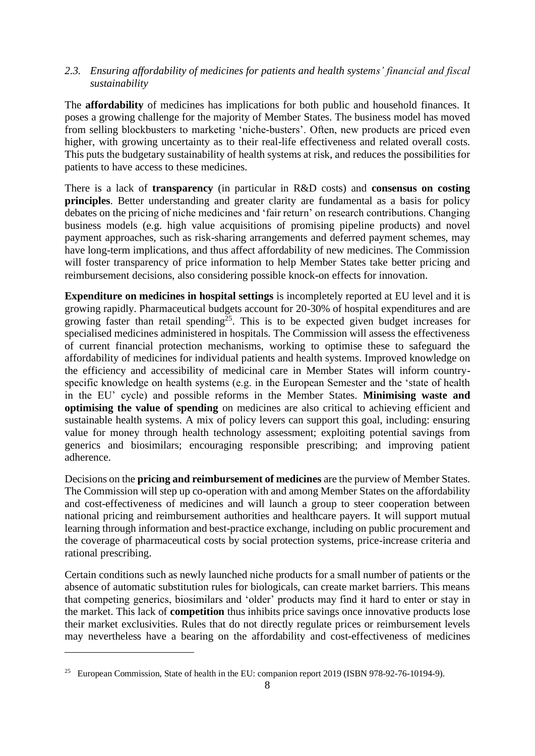### *2.3. Ensuring affordability of medicines for patients and health systems' financial and fiscal sustainability*

The **affordability** of medicines has implications for both public and household finances. It poses a growing challenge for the majority of Member States. The business model has moved from selling blockbusters to marketing 'niche-busters'. Often, new products are priced even higher, with growing uncertainty as to their real-life effectiveness and related overall costs. This puts the budgetary sustainability of health systems at risk, and reduces the possibilities for patients to have access to these medicines.

There is a lack of **transparency** (in particular in R&D costs) and **consensus on costing principles**. Better understanding and greater clarity are fundamental as a basis for policy debates on the pricing of niche medicines and 'fair return' on research contributions. Changing business models (e.g. high value acquisitions of promising pipeline products) and novel payment approaches, such as risk-sharing arrangements and deferred payment schemes, may have long-term implications, and thus affect affordability of new medicines. The Commission will foster transparency of price information to help Member States take better pricing and reimbursement decisions, also considering possible knock-on effects for innovation.

**Expenditure on medicines in hospital settings** is incompletely reported at EU level and it is growing rapidly. Pharmaceutical budgets account for 20-30% of hospital expenditures and are growing faster than retail spending<sup>25</sup>. This is to be expected given budget increases for specialised medicines administered in hospitals. The Commission will assess the effectiveness of current financial protection mechanisms, working to optimise these to safeguard the affordability of medicines for individual patients and health systems. Improved knowledge on the efficiency and accessibility of medicinal care in Member States will inform countryspecific knowledge on health systems (e.g. in the European Semester and the 'state of health in the EU' cycle) and possible reforms in the Member States. **Minimising waste and optimising the value of spending** on medicines are also critical to achieving efficient and sustainable health systems. A mix of policy levers can support this goal, including: ensuring value for money through health technology assessment; exploiting potential savings from generics and biosimilars; encouraging responsible prescribing; and improving patient adherence.

Decisions on the **pricing and reimbursement of medicines** are the purview of Member States. The Commission will step up co-operation with and among Member States on the affordability and cost-effectiveness of medicines and will launch a group to steer cooperation between national pricing and reimbursement authorities and healthcare payers. It will support mutual learning through information and best-practice exchange, including on public procurement and the coverage of pharmaceutical costs by social protection systems, price-increase criteria and rational prescribing.

Certain conditions such as newly launched niche products for a small number of patients or the absence of automatic substitution rules for biologicals, can create market barriers. This means that competing generics, biosimilars and 'older' products may find it hard to enter or stay in the market. This lack of **competition** thus inhibits price savings once innovative products lose their market exclusivities. Rules that do not directly regulate prices or reimbursement levels may nevertheless have a bearing on the affordability and cost-effectiveness of medicines

<sup>&</sup>lt;sup>25</sup> European Commission, State of health in the EU: companion report 2019 (ISBN 978-92-76-10194-9).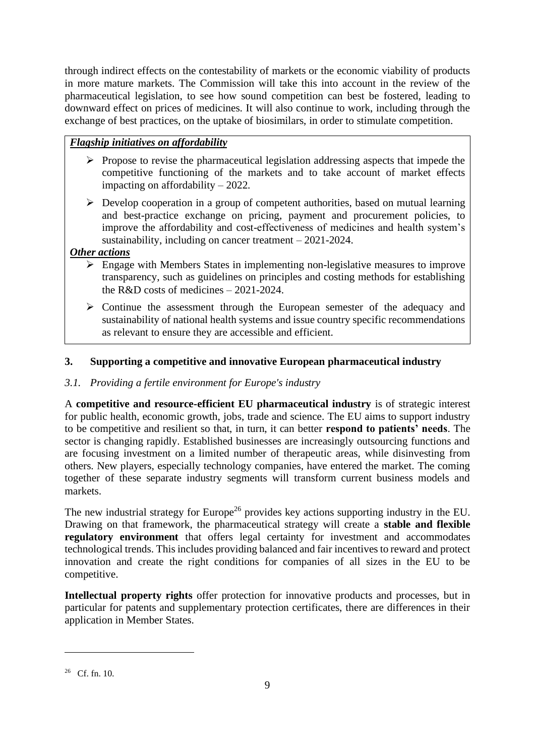through indirect effects on the contestability of markets or the economic viability of products in more mature markets. The Commission will take this into account in the review of the pharmaceutical legislation, to see how sound competition can best be fostered, leading to downward effect on prices of medicines. It will also continue to work, including through the exchange of best practices, on the uptake of biosimilars, in order to stimulate competition.

# *Flagship initiatives on affordability*

- ➢ Propose to revise the pharmaceutical legislation addressing aspects that impede the competitive functioning of the markets and to take account of market effects impacting on affordability – 2022.
- ➢ Develop cooperation in a group of competent authorities, based on mutual learning and best-practice exchange on pricing, payment and procurement policies, to improve the affordability and cost-effectiveness of medicines and health system's sustainability, including on cancer treatment – 2021-2024.

# *Other actions*

- ➢ Engage with Members States in implementing non-legislative measures to improve transparency, such as guidelines on principles and costing methods for establishing the R&D costs of medicines – 2021-2024.
- ➢ Continue the assessment through the European semester of the adequacy and sustainability of national health systems and issue country specific recommendations as relevant to ensure they are accessible and efficient.

# **3. Supporting a competitive and innovative European pharmaceutical industry**

# *3.1. Providing a fertile environment for Europe's industry*

A **competitive and resource-efficient EU pharmaceutical industry** is of strategic interest for public health, economic growth, jobs, trade and science. The EU aims to support industry to be competitive and resilient so that, in turn, it can better **respond to patients' needs**. The sector is changing rapidly. Established businesses are increasingly outsourcing functions and are focusing investment on a limited number of therapeutic areas, while disinvesting from others. New players, especially technology companies, have entered the market. The coming together of these separate industry segments will transform current business models and markets.

The new industrial strategy for Europe<sup>26</sup> provides key actions supporting industry in the EU. Drawing on that framework, the pharmaceutical strategy will create a **stable and flexible regulatory environment** that offers legal certainty for investment and accommodates technological trends. This includes providing balanced and fair incentives to reward and protect innovation and create the right conditions for companies of all sizes in the EU to be competitive.

**Intellectual property rights** offer protection for innovative products and processes, but in particular for patents and supplementary protection certificates, there are differences in their application in Member States.

 $26$  Cf. fn. 10.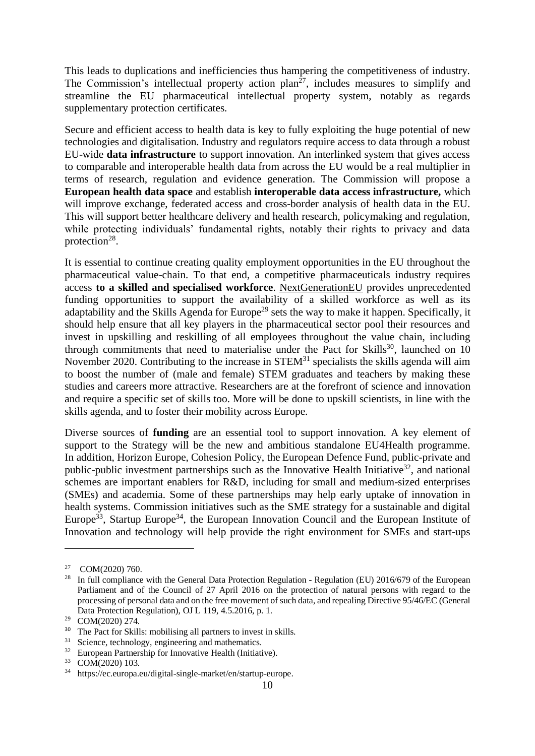This leads to duplications and inefficiencies thus hampering the competitiveness of industry. The Commission's intellectual property action  $plan^{27}$ , includes measures to simplify and streamline the EU pharmaceutical intellectual property system, notably as regards supplementary protection certificates.

Secure and efficient access to health data is key to fully exploiting the huge potential of new technologies and digitalisation. Industry and regulators require access to data through a robust EU-wide **data infrastructure** to support innovation. An interlinked system that gives access to comparable and interoperable health data from across the EU would be a real multiplier in terms of research, regulation and evidence generation. The Commission will propose a **European health data space** and establish **interoperable data access infrastructure,** which will improve exchange, federated access and cross-border analysis of health data in the EU. This will support better healthcare delivery and health research, policymaking and regulation, while protecting individuals' fundamental rights, notably their rights to privacy and data protection<sup>28</sup>.

It is essential to continue creating quality employment opportunities in the EU throughout the pharmaceutical value-chain. To that end, a competitive pharmaceuticals industry requires access **to a skilled and specialised workforce**. NextGenerationEU provides unprecedented funding opportunities to support the availability of a skilled workforce as well as its adaptability and the Skills Agenda for Europe<sup>29</sup> sets the way to make it happen. Specifically, it should help ensure that all key players in the pharmaceutical sector pool their resources and invest in upskilling and reskilling of all employees throughout the value chain, including through commitments that need to materialise under the Pact for Skills<sup>30</sup>, launched on  $10$ November 2020. Contributing to the increase in STEM<sup>31</sup> specialists the skills agenda will aim to boost the number of (male and female) STEM graduates and teachers by making these studies and careers more attractive. Researchers are at the forefront of science and innovation and require a specific set of skills too. More will be done to upskill scientists, in line with the skills agenda, and to foster their mobility across Europe.

Diverse sources of **funding** are an essential tool to support innovation. A key element of support to the Strategy will be the new and ambitious standalone EU4Health programme. In addition, Horizon Europe, Cohesion Policy, the European Defence Fund, public-private and public-public investment partnerships such as the Innovative Health Initiative<sup>32</sup>, and national schemes are important enablers for R&D, including for small and medium-sized enterprises (SMEs) and academia. Some of these partnerships may help early uptake of innovation in health systems. Commission initiatives such as the SME strategy for a sustainable and digital Europe<sup>33</sup>, Startup Europe<sup>34</sup>, the European Innovation Council and the European Institute of Innovation and technology will help provide the right environment for SMEs and start-ups

 $^{27}$  COM(2020) 760.<br><sup>28</sup> In full compliance

<sup>28</sup> In full compliance with the General Data Protection Regulation - Regulation (EU) 2016/679 of the European Parliament and of the Council of 27 April 2016 on the protection of natural persons with regard to the processing of personal data and on the free movement of such data, and repealing Directive 95/46/EC (General Data Protection Regulation), OJ L 119, 4.5.2016, p. 1.

<sup>29</sup> COM(2020) 274.

<sup>&</sup>lt;sup>30</sup> The Pact for Skills: mobilising all partners to invest in skills.

 $31$  Science, technology, engineering and mathematics.<br> $32$  European Partnership for Innovative Health (Initiati

European Partnership for Innovative Health (Initiative).

 $^{33}$  COM(2020) 103.<br> $^{34}$  https://ec.europa.

<sup>34</sup> [https://ec.europa.eu/digital-single-market/en/startup-europe.](https://ec.europa.eu/digital-single-market/en/startup-europe)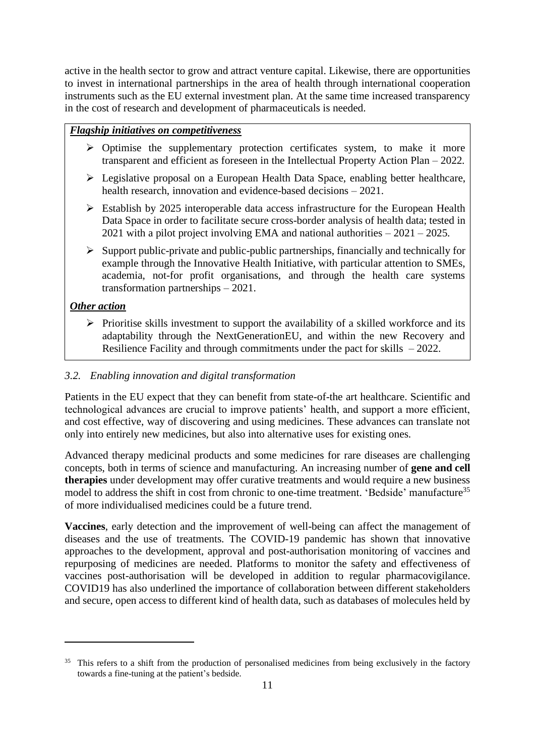active in the health sector to grow and attract venture capital. Likewise, there are opportunities to invest in international partnerships in the area of health through international cooperation instruments such as the EU external investment plan. At the same time increased transparency in the cost of research and development of pharmaceuticals is needed.

### *Flagship initiatives on competitiveness*

- ➢ Optimise the supplementary protection certificates system, to make it more transparent and efficient as foreseen in the Intellectual Property Action Plan – 2022.
- ➢ Legislative proposal on a European Health Data Space, enabling better healthcare, health research, innovation and evidence-based decisions – 2021.
- ➢ Establish by 2025 interoperable data access infrastructure for the European Health Data Space in order to facilitate secure cross-border analysis of health data; tested in 2021 with a pilot project involving EMA and national authorities – 2021 – 2025.
- $\triangleright$  Support public-private and public-public partnerships, financially and technically for example through the Innovative Health Initiative, with particular attention to SMEs, academia, not-for profit organisations, and through the health care systems transformation partnerships – 2021.

### *Other action*

➢ Prioritise skills investment to support the availability of a skilled workforce and its adaptability through the NextGenerationEU, and within the new Recovery and Resilience Facility and through commitments under the pact for skills – 2022.

#### *3.2. Enabling innovation and digital transformation*

Patients in the EU expect that they can benefit from state-of-the art healthcare. Scientific and technological advances are crucial to improve patients' health, and support a more efficient, and cost effective, way of discovering and using medicines. These advances can translate not only into entirely new medicines, but also into alternative uses for existing ones.

Advanced therapy medicinal products and some medicines for rare diseases are challenging concepts, both in terms of science and manufacturing. An increasing number of **gene and cell therapies** under development may offer curative treatments and would require a new business model to address the shift in cost from chronic to one-time treatment. 'Bedside' manufacture<sup>35</sup> of more individualised medicines could be a future trend.

**Vaccines**, early detection and the improvement of well-being can affect the management of diseases and the use of treatments. The COVID-19 pandemic has shown that innovative approaches to the development, approval and post-authorisation monitoring of vaccines and repurposing of medicines are needed. Platforms to monitor the safety and effectiveness of vaccines post-authorisation will be developed in addition to regular pharmacovigilance. COVID19 has also underlined the importance of collaboration between different stakeholders and secure, open access to different kind of health data, such as databases of molecules held by

<sup>&</sup>lt;sup>35</sup> This refers to a shift from the production of personalised medicines from being exclusively in the factory towards a fine-tuning at the patient's bedside.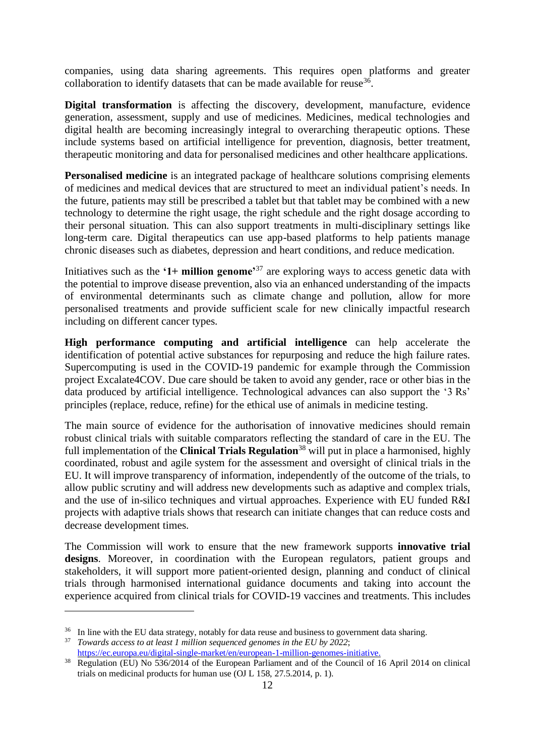companies, using data sharing agreements. This requires open platforms and greater collaboration to identify datasets that can be made available for reuse<sup>36</sup>.

**Digital transformation** is affecting the discovery, development, manufacture, evidence generation, assessment, supply and use of medicines. Medicines, medical technologies and digital health are becoming increasingly integral to overarching therapeutic options. These include systems based on artificial intelligence for prevention, diagnosis, better treatment, therapeutic monitoring and data for personalised medicines and other healthcare applications.

**Personalised medicine** is an integrated package of healthcare solutions comprising elements of medicines and medical devices that are structured to meet an individual patient's needs. In the future, patients may still be prescribed a tablet but that tablet may be combined with a new technology to determine the right usage, the right schedule and the right dosage according to their personal situation. This can also support treatments in multi-disciplinary settings like long-term care. Digital therapeutics can use app-based platforms to help patients manage chronic diseases such as diabetes, depression and heart conditions, and reduce medication.

Initiatives such as the **'1+ million genome'**<sup>37</sup> are exploring ways to access genetic data with the potential to improve disease prevention, also via an enhanced understanding of the impacts of environmental determinants such as climate change and pollution, allow for more personalised treatments and provide sufficient scale for new clinically impactful research including on different cancer types.

**High performance computing and artificial intelligence** can help accelerate the identification of potential active substances for repurposing and reduce the high failure rates. Supercomputing is used in the COVID-19 pandemic for example through the Commission project Excalate4COV. Due care should be taken to avoid any gender, race or other bias in the data produced by artificial intelligence. Technological advances can also support the '3 Rs' principles (replace, reduce, refine) for the ethical use of animals in medicine testing.

The main source of evidence for the authorisation of innovative medicines should remain robust clinical trials with suitable comparators reflecting the standard of care in the EU. The full implementation of the **Clinical Trials Regulation**<sup>38</sup> will put in place a harmonised, highly coordinated, robust and agile system for the assessment and oversight of clinical trials in the EU. It will improve transparency of information, independently of the outcome of the trials, to allow public scrutiny and will address new developments such as adaptive and complex trials, and the use of in-silico techniques and virtual approaches. Experience with EU funded R&I projects with adaptive trials shows that research can initiate changes that can reduce costs and decrease development times.

The Commission will work to ensure that the new framework supports **innovative trial designs**. Moreover, in coordination with the European regulators, patient groups and stakeholders, it will support more patient-oriented design, planning and conduct of clinical trials through harmonised international guidance documents and taking into account the experience acquired from clinical trials for COVID-19 vaccines and treatments. This includes

<sup>&</sup>lt;sup>36</sup> In line with the EU data strategy, notably for data reuse and business to government data sharing.

<sup>37</sup> *Towards access to at least 1 million sequenced genomes in the EU by 2022*;

[https://ec.europa.eu/digital-single-market/en/european-1-million-genomes-initiative.](https://ec.europa.eu/digital-single-market/en/european-1-million-genomes-initiative)

<sup>&</sup>lt;sup>38</sup> Regulation (EU) No 536/2014 of the European Parliament and of the Council of 16 April 2014 on clinical trials on medicinal products for human use (OJ L 158, 27.5.2014, p. 1).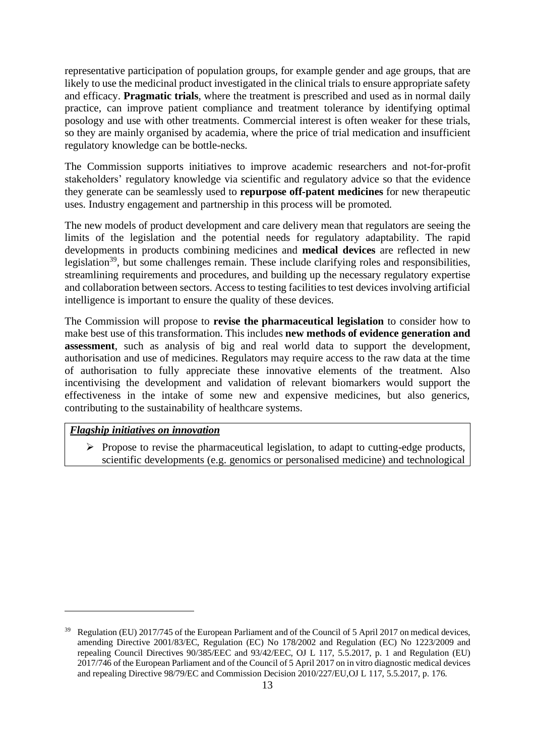representative participation of population groups, for example gender and age groups, that are likely to use the medicinal product investigated in the clinical trials to ensure appropriate safety and efficacy. **Pragmatic trials**, where the treatment is prescribed and used as in normal daily practice, can improve patient compliance and treatment tolerance by identifying optimal posology and use with other treatments. Commercial interest is often weaker for these trials, so they are mainly organised by academia, where the price of trial medication and insufficient regulatory knowledge can be bottle-necks.

The Commission supports initiatives to improve academic researchers and not-for-profit stakeholders' regulatory knowledge via scientific and regulatory advice so that the evidence they generate can be seamlessly used to **repurpose off-patent medicines** for new therapeutic uses. Industry engagement and partnership in this process will be promoted.

The new models of product development and care delivery mean that regulators are seeing the limits of the legislation and the potential needs for regulatory adaptability. The rapid developments in products combining medicines and **medical devices** are reflected in new legislation<sup>39</sup>, but some challenges remain. These include clarifying roles and responsibilities, streamlining requirements and procedures, and building up the necessary regulatory expertise and collaboration between sectors. Access to testing facilities to test devices involving artificial intelligence is important to ensure the quality of these devices.

The Commission will propose to **revise the pharmaceutical legislation** to consider how to make best use of this transformation. This includes **new methods of evidence generation and assessment**, such as analysis of big and real world data to support the development, authorisation and use of medicines. Regulators may require access to the raw data at the time of authorisation to fully appreciate these innovative elements of the treatment. Also incentivising the development and validation of relevant biomarkers would support the effectiveness in the intake of some new and expensive medicines, but also generics, contributing to the sustainability of healthcare systems.

## *Flagship initiatives on innovation*

➢ Propose to revise the pharmaceutical legislation, to adapt to cutting-edge products, scientific developments (e.g. genomics or personalised medicine) and technological

<sup>&</sup>lt;sup>39</sup> Regulation (EU) 2017/745 of the European Parliament and of the Council of 5 April 2017 on medical devices, amending Directive 2001/83/EC, Regulation (EC) No 178/2002 and Regulation (EC) No 1223/2009 and repealing Council Directives 90/385/EEC and 93/42/EEC, OJ L 117, 5.5.2017, p. 1 and Regulation (EU) 2017/746 of the European Parliament and of the Council of 5 April 2017 on in vitro diagnostic medical devices and repealing Directive 98/79/EC and Commission Decision 2010/227/EU,OJ L 117, 5.5.2017, p. 176.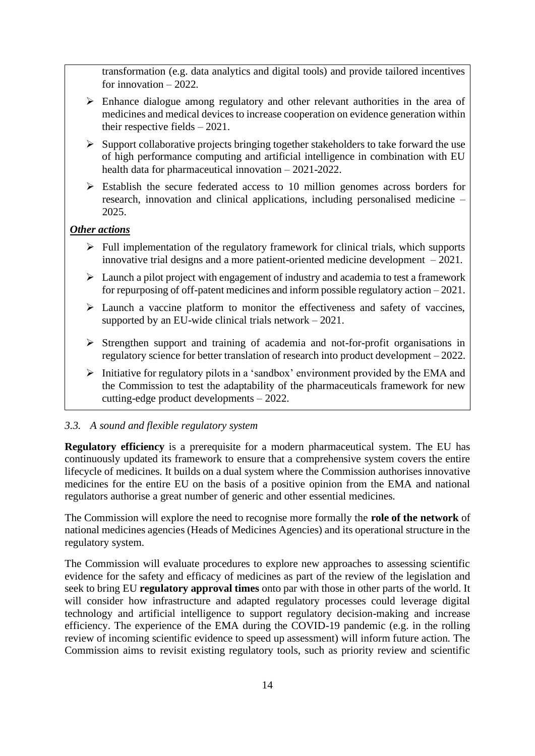transformation (e.g. data analytics and digital tools) and provide tailored incentives for innovation – 2022.

- ➢ Enhance dialogue among regulatory and other relevant authorities in the area of medicines and medical devices to increase cooperation on evidence generation within their respective fields – 2021.
- ➢ Support collaborative projects bringing together stakeholders to take forward the use of high performance computing and artificial intelligence in combination with EU health data for pharmaceutical innovation – 2021-2022.
- ➢ Establish the secure federated access to 10 million genomes across borders for research, innovation and clinical applications, including personalised medicine – 2025.

## *Other actions*

- $\triangleright$  Full implementation of the regulatory framework for clinical trials, which supports innovative trial designs and a more patient-oriented medicine development – 2021.
- $\triangleright$  Launch a pilot project with engagement of industry and academia to test a framework for repurposing of off-patent medicines and inform possible regulatory action – 2021.
- ➢ Launch a vaccine platform to monitor the effectiveness and safety of vaccines, supported by an EU-wide clinical trials network – 2021.
- ➢ Strengthen support and training of academia and not-for-profit organisations in regulatory science for better translation of research into product development – 2022.
- ➢ Initiative for regulatory pilots in a 'sandbox' environment provided by the EMA and the Commission to test the adaptability of the pharmaceuticals framework for new cutting-edge product developments – 2022.

### *3.3. A sound and flexible regulatory system*

**Regulatory efficiency** is a prerequisite for a modern pharmaceutical system. The EU has continuously updated its framework to ensure that a comprehensive system covers the entire lifecycle of medicines. It builds on a dual system where the Commission authorises innovative medicines for the entire EU on the basis of a positive opinion from the EMA and national regulators authorise a great number of generic and other essential medicines.

The Commission will explore the need to recognise more formally the **role of the network** of national medicines agencies (Heads of Medicines Agencies) and its operational structure in the regulatory system.

The Commission will evaluate procedures to explore new approaches to assessing scientific evidence for the safety and efficacy of medicines as part of the review of the legislation and seek to bring EU **regulatory approval times** onto par with those in other parts of the world. It will consider how infrastructure and adapted regulatory processes could leverage digital technology and artificial intelligence to support regulatory decision-making and increase efficiency. The experience of the EMA during the COVID-19 pandemic (e.g. in the rolling review of incoming scientific evidence to speed up assessment) will inform future action. The Commission aims to revisit existing regulatory tools, such as priority review and scientific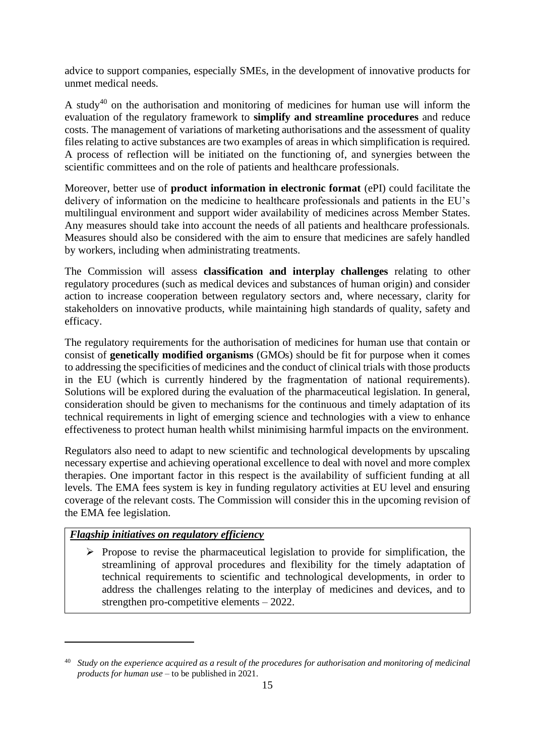advice to support companies, especially SMEs, in the development of innovative products for unmet medical needs.

A study<sup>40</sup> on the authorisation and monitoring of medicines for human use will inform the evaluation of the regulatory framework to **simplify and streamline procedures** and reduce costs. The management of variations of marketing authorisations and the assessment of quality files relating to active substances are two examples of areas in which simplification is required. A process of reflection will be initiated on the functioning of, and synergies between the scientific committees and on the role of patients and healthcare professionals.

Moreover, better use of **product information in electronic format** (ePI) could facilitate the delivery of information on the medicine to healthcare professionals and patients in the EU's multilingual environment and support wider availability of medicines across Member States. Any measures should take into account the needs of all patients and healthcare professionals. Measures should also be considered with the aim to ensure that medicines are safely handled by workers, including when administrating treatments.

The Commission will assess **classification and interplay challenges** relating to other regulatory procedures (such as medical devices and substances of human origin) and consider action to increase cooperation between regulatory sectors and, where necessary, clarity for stakeholders on innovative products, while maintaining high standards of quality, safety and efficacy.

The regulatory requirements for the authorisation of medicines for human use that contain or consist of **genetically modified organisms** (GMOs) should be fit for purpose when it comes to addressing the specificities of medicines and the conduct of clinical trials with those products in the EU (which is currently hindered by the fragmentation of national requirements). Solutions will be explored during the evaluation of the pharmaceutical legislation. In general, consideration should be given to mechanisms for the continuous and timely adaptation of its technical requirements in light of emerging science and technologies with a view to enhance effectiveness to protect human health whilst minimising harmful impacts on the environment.

Regulators also need to adapt to new scientific and technological developments by upscaling necessary expertise and achieving operational excellence to deal with novel and more complex therapies. One important factor in this respect is the availability of sufficient funding at all levels. The EMA fees system is key in funding regulatory activities at EU level and ensuring coverage of the relevant costs. The Commission will consider this in the upcoming revision of the EMA fee legislation.

### *Flagship initiatives on regulatory efficiency*

➢ Propose to revise the pharmaceutical legislation to provide for simplification, the streamlining of approval procedures and flexibility for the timely adaptation of technical requirements to scientific and technological developments, in order to address the challenges relating to the interplay of medicines and devices, and to strengthen pro-competitive elements – 2022.

 $^{40}$  Study on the experience acquired as a result of the procedures for authorisation and monitoring of medicinal *products for human use* – to be published in 2021.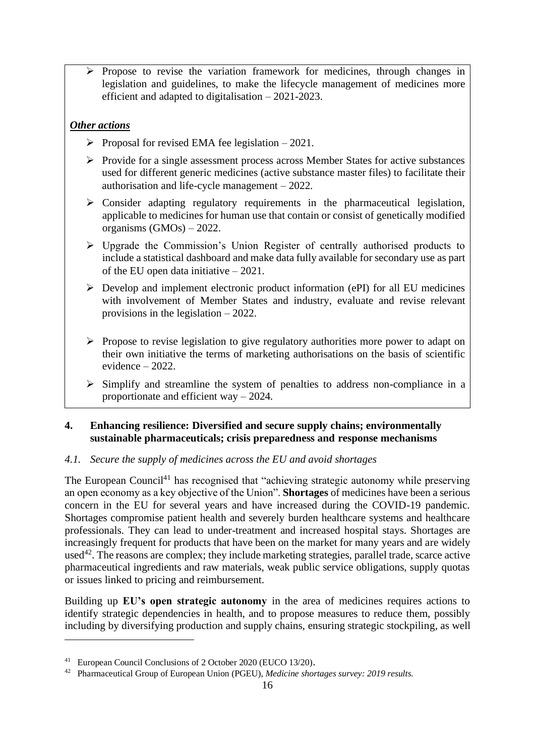➢ Propose to revise the variation framework for medicines, through changes in legislation and guidelines, to make the lifecycle management of medicines more efficient and adapted to digitalisation – 2021-2023.

# *Other actions*

- $\triangleright$  Proposal for revised EMA fee legislation 2021.
- ➢ Provide for a single assessment process across Member States for active substances used for different generic medicines (active substance master files) to facilitate their authorisation and life-cycle management – 2022.
- $\triangleright$  Consider adapting regulatory requirements in the pharmaceutical legislation, applicable to medicines for human use that contain or consist of genetically modified organisms (GMOs) – 2022.
- ➢ Upgrade the Commission's Union Register of centrally authorised products to include a statistical dashboard and make data fully available for secondary use as part of the EU open data initiative – 2021.
- $\triangleright$  Develop and implement electronic product information (ePI) for all EU medicines with involvement of Member States and industry, evaluate and revise relevant provisions in the legislation – 2022.
- ➢ Propose to revise legislation to give regulatory authorities more power to adapt on their own initiative the terms of marketing authorisations on the basis of scientific evidence – 2022.
- ➢ Simplify and streamline the system of penalties to address non-compliance in a proportionate and efficient way – 2024.

## **4. Enhancing resilience: Diversified and secure supply chains; environmentally sustainable pharmaceuticals; crisis preparedness and response mechanisms**

## *4.1. Secure the supply of medicines across the EU and avoid shortages*

The European Council<sup>41</sup> has recognised that "achieving strategic autonomy while preserving an open economy as a key objective of the Union". **Shortages** of medicines have been a serious concern in the EU for several years and have increased during the COVID-19 pandemic. Shortages compromise patient health and severely burden healthcare systems and healthcare professionals. They can lead to under-treatment and increased hospital stays. Shortages are increasingly frequent for products that have been on the market for many years and are widely used<sup>42</sup>. The reasons are complex; they include marketing strategies, parallel trade, scarce active pharmaceutical ingredients and raw materials, weak public service obligations, supply quotas or issues linked to pricing and reimbursement.

Building up **EU's open strategic autonomy** in the area of medicines requires actions to identify strategic dependencies in health, and to propose measures to reduce them, possibly including by diversifying production and supply chains, ensuring strategic stockpiling, as well

<sup>41</sup> European Council Conclusions of 2 October 2020 (EUCO 13/20).

<sup>42</sup> Pharmaceutical Group of European Union (PGEU), *Medicine shortages survey: 2019 results.*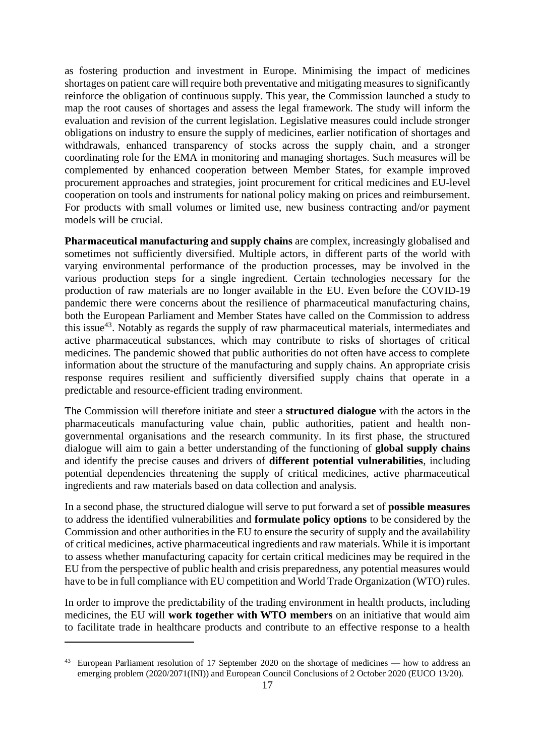as fostering production and investment in Europe. Minimising the impact of medicines shortages on patient care will require both preventative and mitigating measures to significantly reinforce the obligation of continuous supply. This year, the Commission launched a study to map the root causes of shortages and assess the legal framework. The study will inform the evaluation and revision of the current legislation. Legislative measures could include stronger obligations on industry to ensure the supply of medicines, earlier notification of shortages and withdrawals, enhanced transparency of stocks across the supply chain, and a stronger coordinating role for the EMA in monitoring and managing shortages. Such measures will be complemented by enhanced cooperation between Member States, for example improved procurement approaches and strategies, joint procurement for critical medicines and EU-level cooperation on tools and instruments for national policy making on prices and reimbursement. For products with small volumes or limited use, new business contracting and/or payment models will be crucial.

**Pharmaceutical manufacturing and supply chains** are complex, increasingly globalised and sometimes not sufficiently diversified. Multiple actors, in different parts of the world with varying environmental performance of the production processes, may be involved in the various production steps for a single ingredient. Certain technologies necessary for the production of raw materials are no longer available in the EU. Even before the COVID-19 pandemic there were concerns about the resilience of pharmaceutical manufacturing chains, both the European Parliament and Member States have called on the Commission to address this issue<sup>43</sup>. Notably as regards the supply of raw pharmaceutical materials, intermediates and active pharmaceutical substances, which may contribute to risks of shortages of critical medicines. The pandemic showed that public authorities do not often have access to complete information about the structure of the manufacturing and supply chains. An appropriate crisis response requires resilient and sufficiently diversified supply chains that operate in a predictable and resource-efficient trading environment.

The Commission will therefore initiate and steer a **structured dialogue** with the actors in the pharmaceuticals manufacturing value chain, public authorities, patient and health nongovernmental organisations and the research community. In its first phase, the structured dialogue will aim to gain a better understanding of the functioning of **global supply chains**  and identify the precise causes and drivers of **different potential vulnerabilities**, including potential dependencies threatening the supply of critical medicines, active pharmaceutical ingredients and raw materials based on data collection and analysis.

In a second phase, the structured dialogue will serve to put forward a set of **possible measures**  to address the identified vulnerabilities and **formulate policy options** to be considered by the Commission and other authorities in the EU to ensure the security of supply and the availability of critical medicines, active pharmaceutical ingredients and raw materials. While it is important to assess whether manufacturing capacity for certain critical medicines may be required in the EU from the perspective of public health and crisis preparedness, any potential measures would have to be in full compliance with EU competition and World Trade Organization (WTO) rules.

In order to improve the predictability of the trading environment in health products, including medicines, the EU will **work together with WTO members** on an initiative that would aim to facilitate trade in healthcare products and contribute to an effective response to a health

<sup>&</sup>lt;sup>43</sup> European Parliament resolution of 17 September 2020 on the shortage of medicines — how to address an emerging problem (2020/2071(INI)) and European Council Conclusions of 2 October 2020 (EUCO 13/20).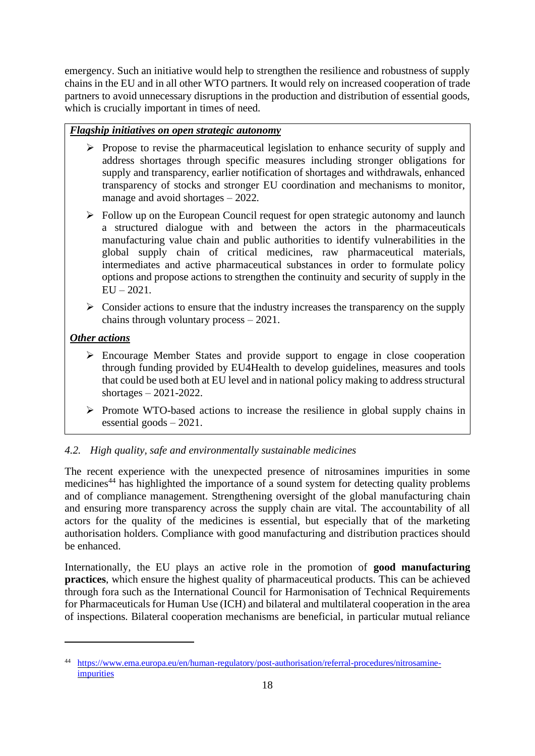emergency. Such an initiative would help to strengthen the resilience and robustness of supply chains in the EU and in all other WTO partners. It would rely on increased cooperation of trade partners to avoid unnecessary disruptions in the production and distribution of essential goods, which is crucially important in times of need.

# *Flagship initiatives on open strategic autonomy*

- ➢ Propose to revise the pharmaceutical legislation to enhance security of supply and address shortages through specific measures including stronger obligations for supply and transparency, earlier notification of shortages and withdrawals, enhanced transparency of stocks and stronger EU coordination and mechanisms to monitor, manage and avoid shortages – 2022.
- ➢ Follow up on the European Council request for open strategic autonomy and launch a structured dialogue with and between the actors in the pharmaceuticals manufacturing value chain and public authorities to identify vulnerabilities in the global supply chain of critical medicines, raw pharmaceutical materials, intermediates and active pharmaceutical substances in order to formulate policy options and propose actions to strengthen the continuity and security of supply in the  $EU - 2021.$
- ➢ Consider actions to ensure that the industry increases the transparency on the supply chains through voluntary process – 2021.

# *Other actions*

- ➢ Encourage Member States and provide support to engage in close cooperation through funding provided by EU4Health to develop guidelines, measures and tools that could be used both at EU level and in national policy making to address structural shortages – 2021-2022.
- ➢ Promote WTO-based actions to increase the resilience in global supply chains in essential goods – 2021.

# *4.2. High quality, safe and environmentally sustainable medicines*

The recent experience with the unexpected presence of nitrosamines impurities in some medicines<sup>44</sup> has highlighted the importance of a sound system for detecting quality problems and of compliance management. Strengthening oversight of the global manufacturing chain and ensuring more transparency across the supply chain are vital. The accountability of all actors for the quality of the medicines is essential, but especially that of the marketing authorisation holders. Compliance with good manufacturing and distribution practices should be enhanced.

Internationally, the EU plays an active role in the promotion of **good manufacturing practices**, which ensure the highest quality of pharmaceutical products. This can be achieved through fora such as the International Council for Harmonisation of Technical Requirements for Pharmaceuticals for Human Use (ICH) and bilateral and multilateral cooperation in the area of inspections. Bilateral cooperation mechanisms are beneficial, in particular mutual reliance

<sup>44</sup> [https://www.ema.europa.eu/en/human-regulatory/post-authorisation/referral-procedures/nitrosamine](https://www.ema.europa.eu/en/human-regulatory/post-authorisation/referral-procedures/nitrosamine-impurities)[impurities](https://www.ema.europa.eu/en/human-regulatory/post-authorisation/referral-procedures/nitrosamine-impurities)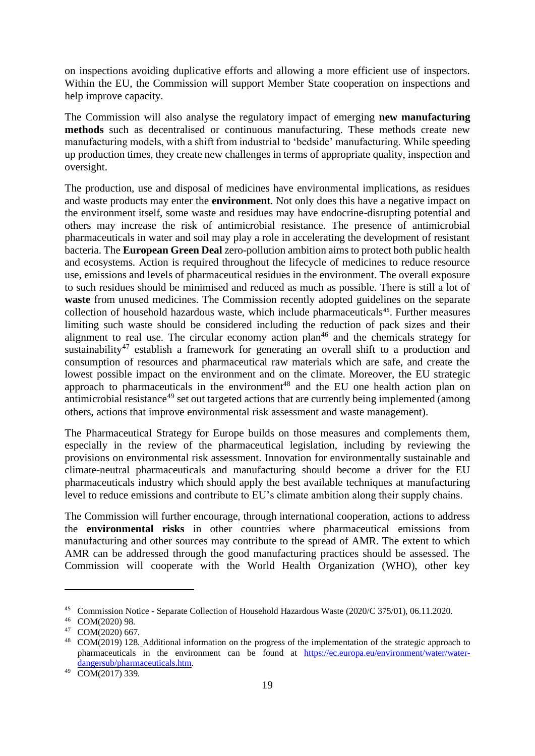on inspections avoiding duplicative efforts and allowing a more efficient use of inspectors. Within the EU, the Commission will support Member State cooperation on inspections and help improve capacity.

The Commission will also analyse the regulatory impact of emerging **new manufacturing methods** such as decentralised or continuous manufacturing. These methods create new manufacturing models, with a shift from industrial to 'bedside' manufacturing. While speeding up production times, they create new challenges in terms of appropriate quality, inspection and oversight.

The production, use and disposal of medicines have environmental implications, as residues and waste products may enter the **environment**. Not only does this have a negative impact on the environment itself, some waste and residues may have endocrine-disrupting potential and others may increase the risk of antimicrobial resistance. The presence of antimicrobial pharmaceuticals in water and soil may play a role in accelerating the development of resistant bacteria. The **European Green Deal** zero-pollution ambition aims to protect both public health and ecosystems. Action is required throughout the lifecycle of medicines to reduce resource use, emissions and levels of pharmaceutical residues in the environment. The overall exposure to such residues should be minimised and reduced as much as possible. There is still a lot of **waste** from unused medicines. The Commission recently adopted guidelines on the separate collection of household hazardous waste, which include pharmaceuticals<sup>45</sup>. Further measures limiting such waste should be considered including the reduction of pack sizes and their alignment to real use. The circular economy action plan<sup>46</sup> and the chemicals strategy for sustainability<sup>47</sup> establish a framework for generating an overall shift to a production and consumption of resources and pharmaceutical raw materials which are safe, and create the lowest possible impact on the environment and on the climate. Moreover, the EU strategic approach to pharmaceuticals in the environment<sup>48</sup> and the EU one health action plan on antimicrobial resistance<sup>49</sup> set out targeted actions that are currently being implemented (among others, actions that improve environmental risk assessment and waste management).

The Pharmaceutical Strategy for Europe builds on those measures and complements them, especially in the review of the pharmaceutical legislation, including by reviewing the provisions on environmental risk assessment. Innovation for environmentally sustainable and climate-neutral pharmaceuticals and manufacturing should become a driver for the EU pharmaceuticals industry which should apply the best available techniques at manufacturing level to reduce emissions and contribute to EU's climate ambition along their supply chains.

The Commission will further encourage, through international cooperation, actions to address the **environmental risks** in other countries where pharmaceutical emissions from manufacturing and other sources may contribute to the spread of AMR. The extent to which AMR can be addressed through the good manufacturing practices should be assessed. The Commission will cooperate with the World Health Organization (WHO), other key

[Commission](https://eur-lex.europa.eu/legal-content/EN/TXT/?uri=uriserv%3AOJ.C_.2020.375.01.0001.01.ENG&toc=OJ%3AC%3A2020%3A375%3AFULL) Notice - Separate Collection of Household Hazardous Waste (2020/C 375/01), 06.11.2020.

<sup>46</sup> COM(2020) 98.

<sup>47</sup> COM(2020) 667.

<sup>48</sup> COM(2019) 128. Additional information on the progress of the implementation of the strategic approach to pharmaceuticals in the environment can be found at [https://ec.europa.eu/environment/water/water](https://ec.europa.eu/environment/water/water-dangersub/pharmaceuticals.htm)[dangersub/pharmaceuticals.htm.](https://ec.europa.eu/environment/water/water-dangersub/pharmaceuticals.htm)

<sup>49</sup> COM(2017) 339.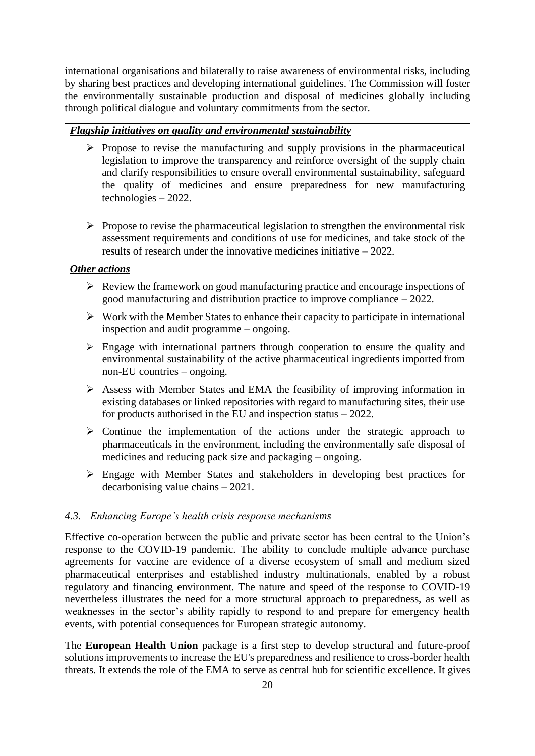international organisations and bilaterally to raise awareness of environmental risks, including by sharing best practices and developing international guidelines. The Commission will foster the environmentally sustainable production and disposal of medicines globally including through political dialogue and voluntary commitments from the sector.

### *Flagship initiatives on quality and environmental sustainability*

- ➢ Propose to revise the manufacturing and supply provisions in the pharmaceutical legislation to improve the transparency and reinforce oversight of the supply chain and clarify responsibilities to ensure overall environmental sustainability, safeguard the quality of medicines and ensure preparedness for new manufacturing technologies – 2022.
- $\triangleright$  Propose to revise the pharmaceutical legislation to strengthen the environmental risk assessment requirements and conditions of use for medicines, and take stock of the results of research under the innovative medicines initiative – 2022.

#### *Other actions*

- ➢ Review the framework on good manufacturing practice and encourage inspections of good manufacturing and distribution practice to improve compliance – 2022.
- $\triangleright$  Work with the Member States to enhance their capacity to participate in international inspection and audit programme – ongoing.
- ➢ Engage with international partners through cooperation to ensure the quality and environmental sustainability of the active pharmaceutical ingredients imported from non-EU countries – ongoing.
- ➢ Assess with Member States and EMA the feasibility of improving information in existing databases or linked repositories with regard to manufacturing sites, their use for products authorised in the EU and inspection status – 2022.
- ➢ Continue the implementation of the actions under the strategic approach to pharmaceuticals in the environment, including the environmentally safe disposal of medicines and reducing pack size and packaging – ongoing.
- ➢ Engage with Member States and stakeholders in developing best practices for decarbonising value chains – 2021.

### *4.3. Enhancing Europe's health crisis response mechanisms*

Effective co-operation between the public and private sector has been central to the Union's response to the COVID-19 pandemic. The ability to conclude multiple advance purchase agreements for vaccine are evidence of a diverse ecosystem of small and medium sized pharmaceutical enterprises and established industry multinationals, enabled by a robust regulatory and financing environment. The nature and speed of the response to COVID-19 nevertheless illustrates the need for a more structural approach to preparedness, as well as weaknesses in the sector's ability rapidly to respond to and prepare for emergency health events, with potential consequences for European strategic autonomy.

The **European Health Union** package is a first step to develop structural and future-proof solutions improvements to increase the EU's preparedness and resilience to cross-border health threats. It extends the role of the EMA to serve as central hub for scientific excellence. It gives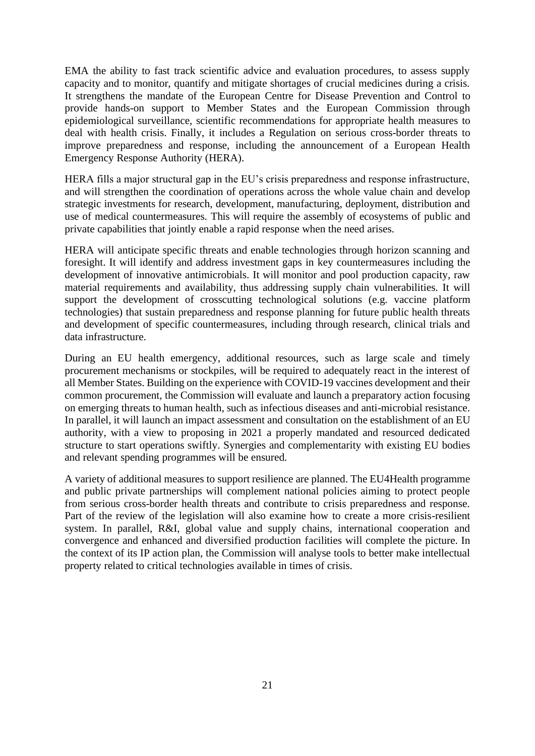EMA the ability to fast track scientific advice and evaluation procedures, to assess supply capacity and to monitor, quantify and mitigate shortages of crucial medicines during a crisis. It strengthens the mandate of the European Centre for Disease Prevention and Control to provide hands-on support to Member States and the European Commission through epidemiological surveillance, scientific recommendations for appropriate health measures to deal with health crisis. Finally, it includes a Regulation on serious cross-border threats to improve preparedness and response, including the announcement of a European Health Emergency Response Authority (HERA).

HERA fills a major structural gap in the EU's crisis preparedness and response infrastructure, and will strengthen the coordination of operations across the whole value chain and develop strategic investments for research, development, manufacturing, deployment, distribution and use of medical countermeasures. This will require the assembly of ecosystems of public and private capabilities that jointly enable a rapid response when the need arises.

HERA will anticipate specific threats and enable technologies through horizon scanning and foresight. It will identify and address investment gaps in key countermeasures including the development of innovative antimicrobials. It will monitor and pool production capacity, raw material requirements and availability, thus addressing supply chain vulnerabilities. It will support the development of crosscutting technological solutions (e.g. vaccine platform technologies) that sustain preparedness and response planning for future public health threats and development of specific countermeasures, including through research, clinical trials and data infrastructure.

During an EU health emergency, additional resources, such as large scale and timely procurement mechanisms or stockpiles, will be required to adequately react in the interest of all Member States. Building on the experience with COVID-19 vaccines development and their common procurement, the Commission will evaluate and launch a preparatory action focusing on emerging threats to human health, such as infectious diseases and anti-microbial resistance. In parallel, it will launch an impact assessment and consultation on the establishment of an EU authority, with a view to proposing in 2021 a properly mandated and resourced dedicated structure to start operations swiftly. Synergies and complementarity with existing EU bodies and relevant spending programmes will be ensured.

A variety of additional measures to support resilience are planned. The EU4Health programme and public private partnerships will complement national policies aiming to protect people from serious cross-border health threats and contribute to crisis preparedness and response. Part of the review of the legislation will also examine how to create a more crisis-resilient system. In parallel, R&I, global value and supply chains, international cooperation and convergence and enhanced and diversified production facilities will complete the picture. In the context of its IP action plan, the Commission will analyse tools to better make intellectual property related to critical technologies available in times of crisis.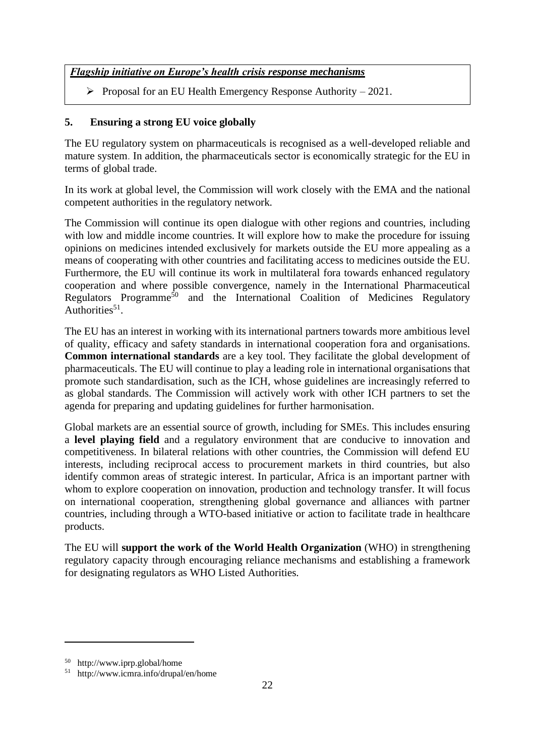## *Flagship initiative on Europe's health crisis response mechanisms*

 $\triangleright$  Proposal for an EU Health Emergency Response Authority – 2021.

## **5. Ensuring a strong EU voice globally**

The EU regulatory system on pharmaceuticals is recognised as a well-developed reliable and mature system. In addition, the pharmaceuticals sector is economically strategic for the EU in terms of global trade.

In its work at global level, the Commission will work closely with the EMA and the national competent authorities in the regulatory network.

The Commission will continue its open dialogue with other regions and countries, including with low and middle income countries. It will explore how to make the procedure for issuing opinions on medicines intended exclusively for markets outside the EU more appealing as a means of cooperating with other countries and facilitating access to medicines outside the EU. Furthermore, the EU will continue its work in multilateral fora towards enhanced regulatory cooperation and where possible convergence, namely in the International Pharmaceutical Regulators Programme<sup>50</sup> and the International Coalition of Medicines Regulatory Authorities<sup>51</sup>.

The EU has an interest in working with its international partners towards more ambitious level of quality, efficacy and safety standards in international cooperation fora and organisations. **Common international standards** are a key tool. They facilitate the global development of pharmaceuticals. The EU will continue to play a leading role in international organisations that promote such standardisation, such as the ICH, whose guidelines are increasingly referred to as global standards. The Commission will actively work with other ICH partners to set the agenda for preparing and updating guidelines for further harmonisation.

Global markets are an essential source of growth, including for SMEs. This includes ensuring a **level playing field** and a regulatory environment that are conducive to innovation and competitiveness. In bilateral relations with other countries, the Commission will defend EU interests, including reciprocal access to procurement markets in third countries, but also identify common areas of strategic interest. In particular, Africa is an important partner with whom to explore cooperation on innovation, production and technology transfer. It will focus on international cooperation, strengthening global governance and alliances with partner countries, including through a WTO-based initiative or action to facilitate trade in healthcare products.

The EU will **support the work of the World Health Organization** (WHO) in strengthening regulatory capacity through encouraging reliance mechanisms and establishing a framework for designating regulators as WHO Listed Authorities.

<sup>50</sup> http://www.iprp.global/home

<sup>51</sup> http://www.icmra.info/drupal/en/home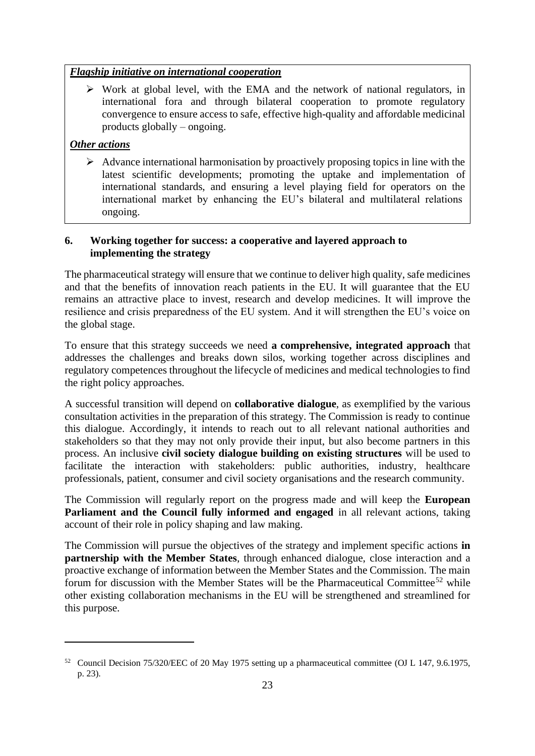## *Flagship initiative on international cooperation*

➢ Work at global level, with the EMA and the network of national regulators, in international fora and through bilateral cooperation to promote regulatory convergence to ensure access to safe, effective high-quality and affordable medicinal products globally – ongoing.

# *Other actions*

 $\triangleright$  Advance international harmonisation by proactively proposing topics in line with the latest scientific developments; promoting the uptake and implementation of international standards, and ensuring a level playing field for operators on the international market by enhancing the EU's bilateral and multilateral relations ongoing.

## **6. Working together for success: a cooperative and layered approach to implementing the strategy**

The pharmaceutical strategy will ensure that we continue to deliver high quality, safe medicines and that the benefits of innovation reach patients in the EU. It will guarantee that the EU remains an attractive place to invest, research and develop medicines. It will improve the resilience and crisis preparedness of the EU system. And it will strengthen the EU's voice on the global stage.

To ensure that this strategy succeeds we need **a comprehensive, integrated approach** that addresses the challenges and breaks down silos, working together across disciplines and regulatory competences throughout the lifecycle of medicines and medical technologies to find the right policy approaches.

A successful transition will depend on **collaborative dialogue**, as exemplified by the various consultation activities in the preparation of this strategy. The Commission is ready to continue this dialogue. Accordingly, it intends to reach out to all relevant national authorities and stakeholders so that they may not only provide their input, but also become partners in this process. An inclusive **civil society dialogue building on existing structures** will be used to facilitate the interaction with stakeholders: public authorities, industry, healthcare professionals, patient, consumer and civil society organisations and the research community.

The Commission will regularly report on the progress made and will keep the **European Parliament and the Council fully informed and engaged** in all relevant actions, taking account of their role in policy shaping and law making.

The Commission will pursue the objectives of the strategy and implement specific actions **in partnership with the Member States**, through enhanced dialogue, close interaction and a proactive exchange of information between the Member States and the Commission. The main forum for discussion with the Member States will be the Pharmaceutical Committee<sup>52</sup> while other existing collaboration mechanisms in the EU will be strengthened and streamlined for this purpose.

<sup>52</sup> Council Decision 75/320/EEC of 20 May 1975 setting up a pharmaceutical committee (OJ L 147, 9.6.1975, p. 23).